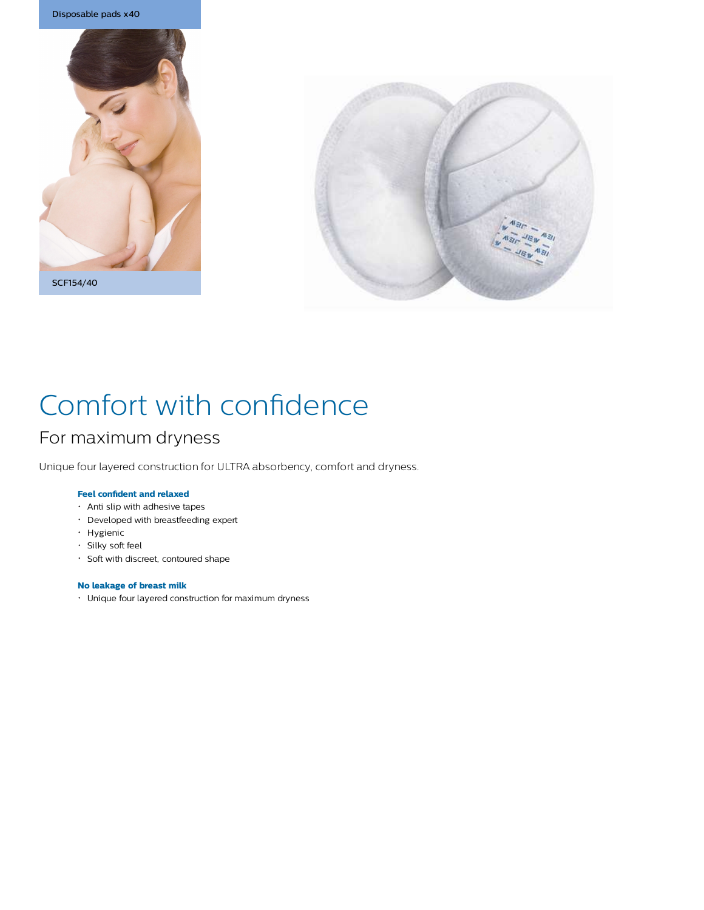





# Comfort with confidence

## For maximum dryness

Unique four layered construction for ULTRA absorbency, comfort and dryness.

## **Feel confident and relaxed**

- Anti slip with adhesive tapes
- Developed with breastfeeding expert
- Hygienic
- Silky soft feel
- Soft with discreet, contoured shape

## **No leakage of breast milk**

Unique four layered construction for maximum dryness